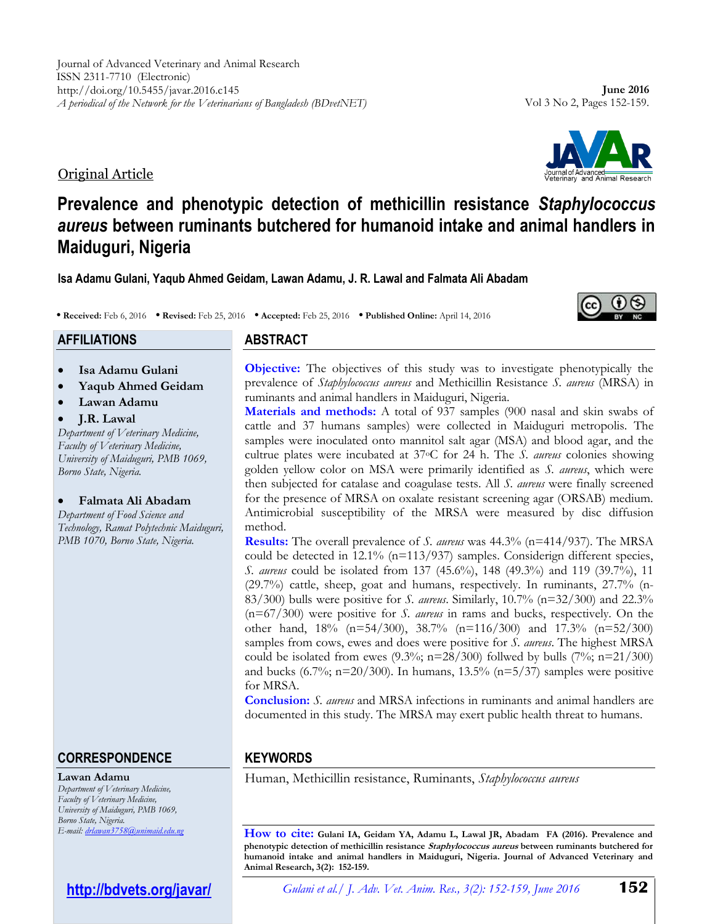Original Article

# **ABSTRACT • Received:** Feb 6, 2016 **• Revised:** Feb 25, 2016 **• Accepted:** Feb 25, 2016 **• Published Online:** April 14, 2016

**Isa Adamu Gulani, Yaqub Ahmed Geidam, Lawan Adamu, J. R. Lawal and Falmata Ali Abadam**

**Prevalence and phenotypic detection of methicillin resistance** *Staphylococcus aureus* **between ruminants butchered for humanoid intake and animal handlers in** 

**Isa Adamu Gulani**

**Maiduguri, Nigeria**

- **Yaqub Ahmed Geidam**
- **Lawan Adamu**
- **J.R. Lawal**

**AFFILIATIONS**

*Department of Veterinary Medicine, Faculty of Veterinary Medicine, University of Maiduguri, PMB 1069, Borno State, Nigeria.*

**Falmata Ali Abadam**

*Department of Food Science and Technology, Ramat Polytechnic Maiduguri, PMB 1070, Borno State, Nigeria.*

# **CORRESPONDENCE**

#### **Lawan Adamu**

*Department of Veterinary Medicine, Faculty of Veterinary Medicine, University of Maiduguri, PMB 1069, Borno State, Nigeria. E-mail[: drlawan3758@unimaid.edu.ng](mailto:drlawan3758@unimaid.edu.ng)*

# **<http://bdvets.org/javar/>**

**Objective:** The objectives of this study was to investigate phenotypically the prevalence of *Staphylococcus aureus* and Methicillin Resistance *S. aureus* (MRSA) in ruminants and animal handlers in Maiduguri, Nigeria.

**Materials and methods:** A total of 937 samples (900 nasal and skin swabs of cattle and 37 humans samples) were collected in Maiduguri metropolis. The samples were inoculated onto mannitol salt agar (MSA) and blood agar, and the cultrue plates were incubated at 37oC for 24 h. The *S. aureus* colonies showing golden yellow color on MSA were primarily identified as *S. aureus*, which were then subjected for catalase and coagulase tests. All *S. aureus* were finally screened for the presence of MRSA on oxalate resistant screening agar (ORSAB) medium. Antimicrobial susceptibility of the MRSA were measured by disc diffusion method.

**Results:** The overall prevalence of *S. aureus* was 44.3% (n=414/937). The MRSA could be detected in 12.1% (n=113/937) samples. Considerign different species, *S. aureus* could be isolated from 137 (45.6%), 148 (49.3%) and 119 (39.7%), 11 (29.7%) cattle, sheep, goat and humans, respectively. In ruminants, 27.7% (n-83/300) bulls were positive for *S. aureus*. Similarly, 10.7% (n=32/300) and 22.3% (n=67/300) were positive for *S. aureus* in rams and bucks, respectively. On the other hand, 18% (n=54/300), 38.7% (n=116/300) and 17.3% (n=52/300) samples from cows, ewes and does were positive for *S. aureus*. The highest MRSA could be isolated from ewes  $(9.3\%; n=28/300)$  follwed by bulls  $(7\%; n=21/300)$ and bucks (6.7%; n=20/300). In humans, 13.5% (n=5/37) samples were positive for MRSA.

**Conclusion:** *S. aureus* and MRSA infections in ruminants and animal handlers are documented in this study. The MRSA may exert public health threat to humans.

# **KEYWORDS**

Human, Methicillin resistance, Ruminants, *Staphylococcus aureus*

**How to cite: Gulani IA, Geidam YA, Adamu L, Lawal JR, Abadam FA (2016). Prevalence and phenotypic detection of methicillin resistance Staphylococcus aureus between ruminants butchered for humanoid intake and animal handlers in Maiduguri, Nigeria. Journal of Advanced Veterinary and Animal Research, 3(2): 152-159.**





Vol 3 No 2, Pages 152-159.

**June 2016**

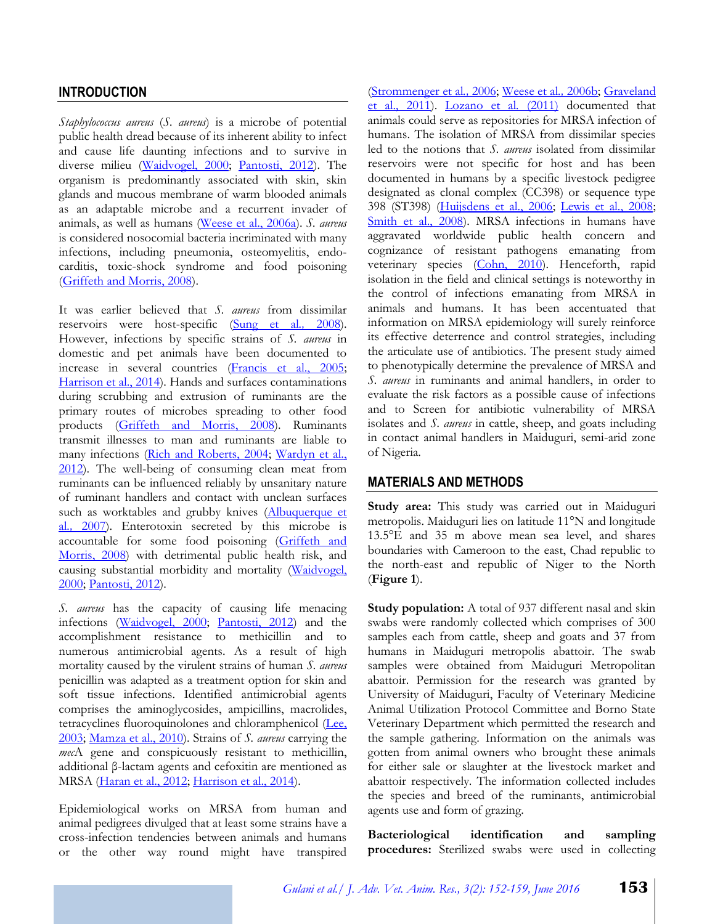### **INTRODUCTION**

*Staphylococcus aureus* (*S. aureus*) is a microbe of potential public health dread because of its inherent ability to infect and cause life daunting infections and to survive in diverse milieu [\(Waidvogel, 2000;](#page-7-0) [Pantosti, 2012\)](#page-7-1). The organism is predominantly associated with skin, skin glands and mucous membrane of warm blooded animals as an adaptable microbe and a recurrent invader of animals, as well as humans [\(Weese et al., 2006a\)](#page-7-2). *S. aureus* is considered nosocomial bacteria incriminated with many infections, including pneumonia, osteomyelitis, endocarditis, toxic-shock syndrome and food poisoning [\(Griffeth and Morris, 2008\)](#page-6-0).

It was earlier believed that *S. aureus* from dissimilar reservoirs were host-specific (Sung [et al](#page-7-3)*.,* 2008). However, infections by specific strains of *S. aureus* in domestic and pet animals have been documented to increase in several countries [\(Francis et al., 2005;](#page-6-1) [Harrison et al., 2014\)](#page-6-2). Hands and surfaces contaminations during scrubbing and extrusion of ruminants are the primary routes of microbes spreading to other food products [\(Griffeth and Morris, 2008\)](#page-6-0). Ruminants transmit illnesses to man and ruminants are liable to many infections [\(Rich and Roberts, 2004;](#page-7-4) Wardyn et al., [2012\)](#page-7-5). The well-being of consuming clean meat from ruminants can be influenced reliably by unsanitary nature of ruminant handlers and contact with unclean surfaces such as worktables and grubby knives [\(Albuquerque](#page-6-3) et al*.,* [2007\)](#page-6-3). Enterotoxin secreted by this microbe is accountable for some food poisoning [\(Griffeth and](#page-6-0)  [Morris, 2008\)](#page-6-0) with detrimental public health risk, and causing substantial morbidity and mortality [\(Waidvogel,](#page-7-0)  [2000;](#page-7-0) [Pantosti, 2012\)](#page-7-1).

*S. aureus* has the capacity of causing life menacing infections [\(Waidvogel, 2000;](#page-7-0) [Pantosti, 2012\)](#page-7-1) and the accomplishment resistance to methicillin and to numerous antimicrobial agents. As a result of high mortality caused by the virulent strains of human *S. aureus*  penicillin was adapted as a treatment option for skin and soft tissue infections. Identified antimicrobial agents comprises the aminoglycosides, ampicillins, macrolides, tetracyclines fluoroquinolones and chloramphenicol [\(Lee,](#page-6-4)  [2003;](#page-6-4) [Mamza et al., 2010\)](#page-7-6). Strains of *S. aureus* carrying the *mec*A gene and conspicuously resistant to methicillin, additional β-lactam agents and cefoxitin are mentioned as MRSA [\(Haran et al., 2012;](#page-6-5) [Harrison et al., 2014\)](#page-6-2).

Epidemiological works on MRSA from human and animal pedigrees divulged that at least some strains have a cross-infection tendencies between animals and humans or the other way round might have transpired

[\(Strommenger](#page-7-7) et al*.,* 2006; [Weese](#page-7-8) et al*.,* 2006b; [Graveland](#page-6-6)  [et al., 2011\)](#page-6-6). [Lozano et al](#page-7-9)*.* (2011) documented that animals could serve as repositories for MRSA infection of humans. The isolation of MRSA from dissimilar species led to the notions that *S. aureus* isolated from dissimilar reservoirs were not specific for host and has been documented in humans by a specific livestock pedigree designated as clonal complex (CC398) or sequence type 398 (ST398) [\(Huijsdens et al., 2006;](#page-6-7) [Lewis et al., 2008;](#page-7-10) [Smith et al., 2008\)](#page-7-11). MRSA infections in humans have aggravated worldwide public health concern and cognizance of resistant pathogens emanating from veterinary species [\(Cohn, 2010\)](#page-6-8). Henceforth, rapid isolation in the field and clinical settings is noteworthy in the control of infections emanating from MRSA in animals and humans. It has been accentuated that information on MRSA epidemiology will surely reinforce its effective deterrence and control strategies, including the articulate use of antibiotics. The present study aimed to phenotypically determine the prevalence of MRSA and *S. aureus* in ruminants and animal handlers, in order to evaluate the risk factors as a possible cause of infections and to Screen for antibiotic vulnerability of MRSA isolates and *S. aureus* in cattle, sheep, and goats including in contact animal handlers in Maiduguri, semi-arid zone of Nigeria.

### **MATERIALS AND METHODS**

**Study area:** This study was carried out in Maiduguri metropolis. Maiduguri lies on latitude 11°N and longitude 13.5°E and 35 m above mean sea level, and shares boundaries with Cameroon to the east, Chad republic to the north-east and republic of Niger to the North (**Figure 1**).

**Study population:** A total of 937 different nasal and skin swabs were randomly collected which comprises of 300 samples each from cattle, sheep and goats and 37 from humans in Maiduguri metropolis abattoir. The swab samples were obtained from Maiduguri Metropolitan abattoir. Permission for the research was granted by University of Maiduguri, Faculty of Veterinary Medicine Animal Utilization Protocol Committee and Borno State Veterinary Department which permitted the research and the sample gathering. Information on the animals was gotten from animal owners who brought these animals for either sale or slaughter at the livestock market and abattoir respectively. The information collected includes the species and breed of the ruminants, antimicrobial agents use and form of grazing.

**Bacteriological identification and sampling procedures:** Sterilized swabs were used in collecting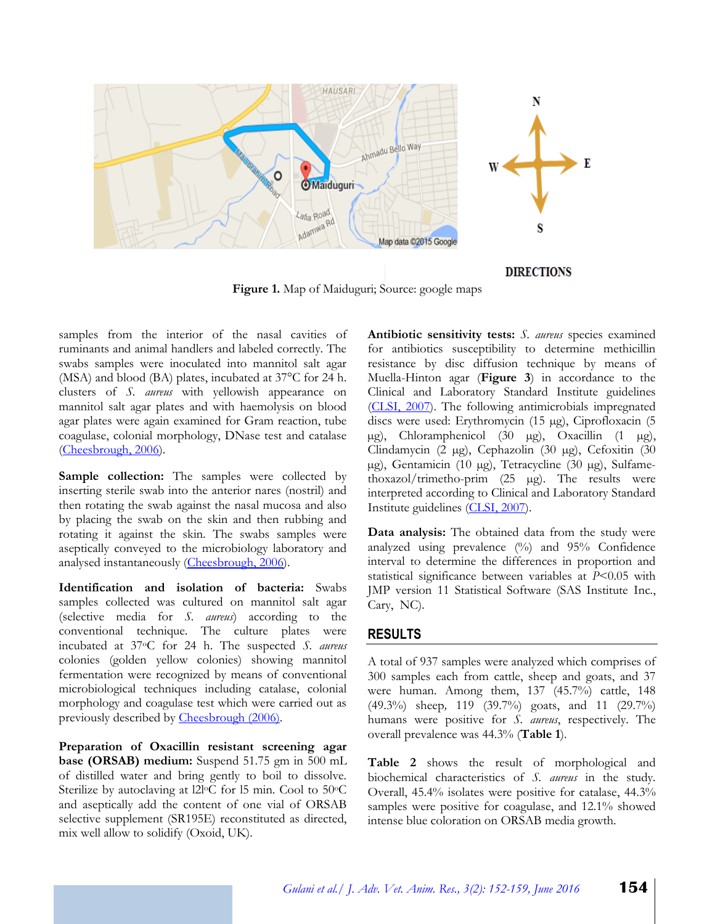

**Figure 1.** Map of Maiduguri; Source: google maps

samples from the interior of the nasal cavities of ruminants and animal handlers and labeled correctly. The swabs samples were inoculated into mannitol salt agar (MSA) and blood (BA) plates, incubated at 37°C for 24 h. clusters of *S. aureus* with yellowish appearance on mannitol salt agar plates and with haemolysis on blood agar plates were again examined for Gram reaction, tube coagulase, colonial morphology, DNase test and catalase [\(Cheesbrough, 2006\)](#page-6-9).

**Sample collection:** The samples were collected by inserting sterile swab into the anterior nares (nostril) and then rotating the swab against the nasal mucosa and also by placing the swab on the skin and then rubbing and rotating it against the skin. The swabs samples were aseptically conveyed to the microbiology laboratory and analysed instantaneously [\(Cheesbrough, 2006\)](#page-6-9).

**Identification and isolation of bacteria:** Swabs samples collected was cultured on mannitol salt agar (selective media for *S. aureus*) according to the conventional technique. The culture plates were incubated at 37oC for 24 h. The suspected *S. aureus* colonies (golden yellow colonies) showing mannitol fermentation were recognized by means of conventional microbiological techniques including catalase, colonial morphology and coagulase test which were carried out as previously described by [Cheesbrough \(2006\).](#page-6-9)

**Preparation of Oxacillin resistant screening agar base (ORSAB) medium:** Suspend 51.75 gm in 500 mL of distilled water and bring gently to boil to dissolve. Sterilize by autoclaving at l2l<sup>o</sup>C for l5 min. Cool to 50<sup>o</sup>C and aseptically add the content of one vial of ORSAB selective supplement (SR195E) reconstituted as directed, mix well allow to solidify (Oxoid, UK).

**Antibiotic sensitivity tests:** *S. aureus* species examined for antibiotics susceptibility to determine methicillin resistance by disc diffusion technique by means of Muella-Hinton agar (**Figure 3**) in accordance to the Clinical and Laboratory Standard Institute guidelines [\(CLSI, 2007\)](#page-6-10). The following antimicrobials impregnated discs were used: Erythromycin (15 µg), Ciprofloxacin (5 µg), Chloramphenicol (30 µg), Oxacillin (1 µg), Clindamycin (2 µg), Cephazolin (30 µg), Cefoxitin (30 µg), Gentamicin (10 µg), Tetracycline (30 µg), Sulfamethoxazol/trimetho-prim (25 µg). The results were interpreted according to Clinical and Laboratory Standard Institute guidelines [\(CLSI, 2007\)](#page-6-10).

**Data analysis:** The obtained data from the study were analyzed using prevalence (%) and 95% Confidence interval to determine the differences in proportion and statistical significance between variables at *P*<0.05 with JMP version 11 Statistical Software (SAS Institute Inc., Cary, NC).

### **RESULTS**

A total of 937 samples were analyzed which comprises of 300 samples each from cattle, sheep and goats, and 37 were human. Among them, 137 (45.7%) cattle, 148 (49.3%) sheep*,* 119 (39.7%) goats, and 11 (29.7%) humans were positive for *S. aureus*, respectively. The overall prevalence was 44.3% (**Table 1**).

**Table 2** shows the result of morphological and biochemical characteristics of *S. aureus* in the study*.*  Overall, 45.4% isolates were positive for catalase, 44.3% samples were positive for coagulase, and 12.1% showed intense blue coloration on ORSAB media growth.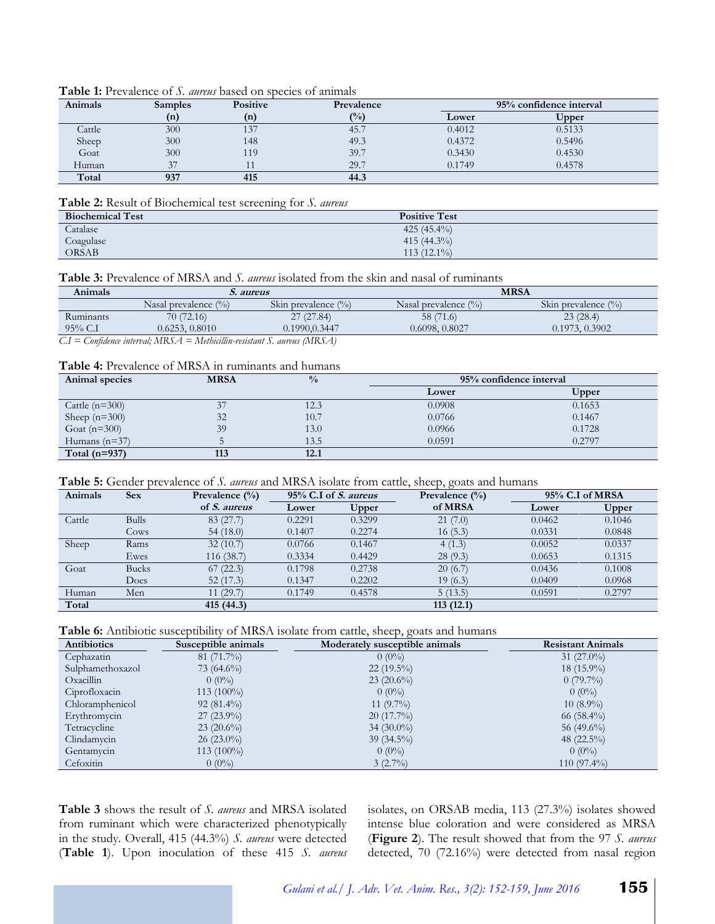#### **Table 1:** Prevalence of *S. aureus* based on species of animals

| Animals | <b>Samples</b> | <b>Positive</b> | Prevalence | 95% confidence interval |        |  |
|---------|----------------|-----------------|------------|-------------------------|--------|--|
|         | (n)            | (n)             | $($ %)     | Lower                   | Upper  |  |
| Cattle  | 300            | 137             | 45.7       | 0.4012                  | 0.5133 |  |
| Sheep   | 300            | 148             | 49.3       | 0.4372                  | 0.5496 |  |
| Goat    | 300            | 119             | 39.7       | 0.3430                  | 0.4530 |  |
| Human   | 37             |                 | 29.7       | 0.1749                  | 0.4578 |  |
| Total   | 937            | 415             | 44.3       |                         |        |  |

#### **Table 2:** Result of Biochemical test screening for *S. aureus*

| <b>Biochemical Test</b> | <b>Positive Test</b> |  |
|-------------------------|----------------------|--|
| Catalase                | 425 $(45.4\%)$       |  |
| Coagulase               | 415 $(44.3\%)$       |  |
| <b>ORSAB</b>            | $113(12.1\%)$        |  |

#### **Table 3:** Prevalence of MRSA and *S. aureus* isolated from the skin and nasal of ruminants

| Animals                                                                     | <i>S. aureus</i>         |                         | <b>MRSA</b>             |                        |  |
|-----------------------------------------------------------------------------|--------------------------|-------------------------|-------------------------|------------------------|--|
|                                                                             | Nasal prevalence $(\% )$ | Skin prevalence $(\% )$ | Nasal prevalence $(\%)$ | Skin prevalence $(\%)$ |  |
| Ruminants                                                                   | 70(72.16)                | 27(27.84)               | 58 (71.6)               | 23(28.4)               |  |
| $95\%$ C.I                                                                  | 0.6253, 0.8010           | 0.1990, 0.3447          | 0.6098, 0.8027          | 0.1973, 0.3902         |  |
| $CI =$ Confidence interval; $MRSA =$ Methicillin-resistant S. aureus (MRSA) |                          |                         |                         |                        |  |

#### **Table 4:** Prevalence of MRSA in ruminants and humans

| Animal species   | <b>MRSA</b> | $\frac{0}{0}$ | 95% confidence interval |        |
|------------------|-------------|---------------|-------------------------|--------|
|                  |             |               | Lower                   | Upper  |
| Cattle $(n=300)$ | 37          | 12.3          | 0.0908                  | 0.1653 |
| Sheep $(n=300)$  | 32          | 10.7          | 0.0766                  | 0.1467 |
| Goat $(n=300)$   | 39          | 13.0          | 0.0966                  | 0.1728 |
| Humans $(n=37)$  |             | 13.5          | 0.0591                  | 0.2797 |
| Total $(n=937)$  | 113         | 12.1          |                         |        |

#### **Table 5:** Gender prevalence of *S. aureus* and MRSA isolate from cattle, sheep, goats and humans

| Animals | <b>Sex</b>   | Prevalence $(\% )$  | $95\%$ C.I of <i>S. aureus</i> |        | Prevalence $\frac{0}{0}$ | 95% C.I of MRSA |        |
|---------|--------------|---------------------|--------------------------------|--------|--------------------------|-----------------|--------|
|         |              | of <i>S. aureus</i> | Lower                          | Upper  | of MRSA                  | Lower           | Upper  |
| Cattle  | <b>Bulls</b> | 83(27.7)            | 0.2291                         | 0.3299 | 21(7.0)                  | 0.0462          | 0.1046 |
|         | Cows         | 54(18.0)            | 0.1407                         | 0.2274 | 16(5.3)                  | 0.0331          | 0.0848 |
| Sheep   | Rams         | 32(10.7)            | 0.0766                         | 0.1467 | 4(1.3)                   | 0.0052          | 0.0337 |
|         | Ewes         | 116 (38.7)          | 0.3334                         | 0.4429 | 28(9.3)                  | 0.0653          | 0.1315 |
| Goat    | <b>Bucks</b> | 67(22.3)            | 0.1798                         | 0.2738 | 20(6.7)                  | 0.0436          | 0.1008 |
|         | Does         | 52(17.3)            | 0.1347                         | 0.2202 | 19(6.3)                  | 0.0409          | 0.0968 |
| Human   | Men          | 11(29.7)            | 0.1749                         | 0.4578 | 5(13.5)                  | 0.0591          | 0.2797 |
| Total   |              | 415(44.3)           |                                |        | 113(12.1)                |                 |        |

**Table 6:** Antibiotic susceptibility of MRSA isolate from cattle, sheep, goats and humans

| Antibiotics      | Susceptible animals | $\Gamma$ ) $\Omega$ $\Gamma$ $\Gamma$ $\Gamma$ $\Gamma$<br>Moderately susceptible animals | <b>Resistant Animals</b> |
|------------------|---------------------|-------------------------------------------------------------------------------------------|--------------------------|
| Cephazatin       | $81(71.7\%)$        | $0(0\%)$                                                                                  | 31 $(27.0\%)$            |
| Sulphamethoxazol | 73 $(64.6\%)$       | $22(19.5\%)$                                                                              | $18(15.9\%)$             |
| Oxacillin        | $0(0\%)$            | $23(20.6\%)$                                                                              | $0(79.7\%)$              |
| Ciprofloxacin    | $113(100\%)$        | $0(0\%)$                                                                                  | $0(0\%)$                 |
| Chloramphenicol  | $92(81.4\%)$        | 11 $(9.7\%)$                                                                              | $10(8.9\%)$              |
| Erythromycin     | $27(23.9\%)$        | $20(17.7\%)$                                                                              | $66(58.4\%)$             |
| Tetracycline     | $23(20.6\%)$        | $34(30.0\%)$                                                                              | 56 (49.6%)               |
| Clindamycin      | $26(23.0\%)$        | $39(34.5\%)$                                                                              | 48 $(22.5\%)$            |
| Gentamycin       | $113(100\%)$        | $0(0\%)$                                                                                  | $0(0\%)$                 |
| Cefoxitin        | $0(0\%)$            | $3(2.7\%)$                                                                                | $110(97.4\%)$            |

**Table 3** shows the result of *S. aureus* and MRSA isolated from ruminant which were characterized phenotypically in the study. Overall, 415 (44.3%) *S. aureus* were detected (**Table 1**). Upon inoculation of these 415 *S. aureus*  isolates, on ORSAB media, 113 (27.3%) isolates showed intense blue coloration and were considered as MRSA (**Figure 2**). The result showed that from the 97 *S. aureus* detected, 70 (72.16%) were detected from nasal region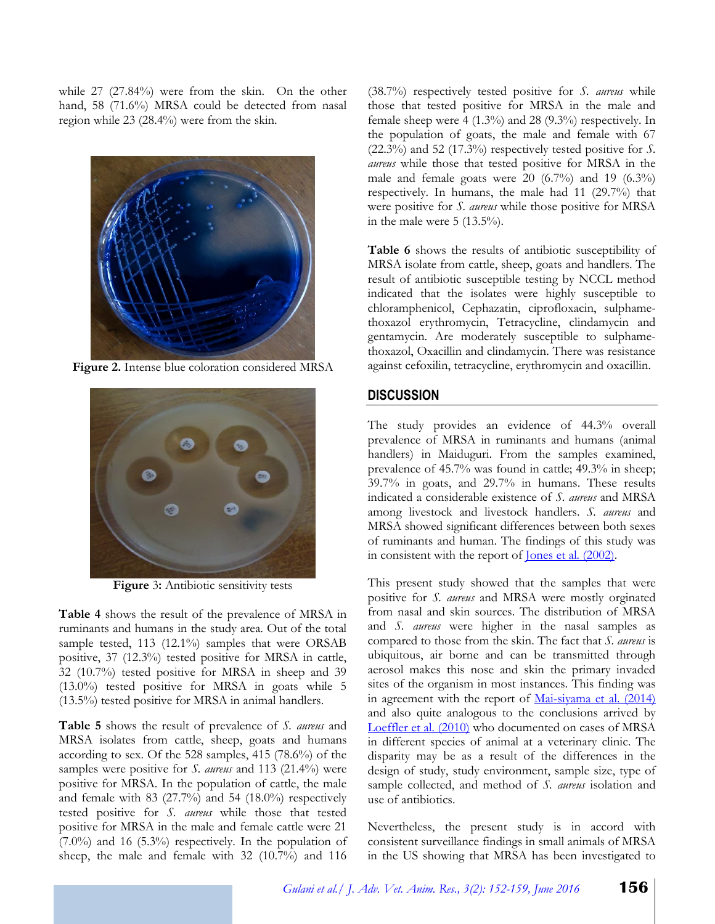while 27 (27.84%) were from the skin. On the other hand, 58 (71.6%) MRSA could be detected from nasal region while 23 (28.4%) were from the skin.



**Figure 2.** Intense blue coloration considered MRSA



**Figure** 3**:** Antibiotic sensitivity tests

**Table 4** shows the result of the prevalence of MRSA in ruminants and humans in the study area. Out of the total sample tested, 113 (12.1%) samples that were ORSAB positive, 37 (12.3%) tested positive for MRSA in cattle, 32 (10.7%) tested positive for MRSA in sheep and 39 (13.0%) tested positive for MRSA in goats while 5 (13.5%) tested positive for MRSA in animal handlers.

**Table 5** shows the result of prevalence of *S. aureus* and MRSA isolates from cattle, sheep, goats and humans according to sex. Of the 528 samples, 415 (78.6%) of the samples were positive for *S. aureus* and 113 (21.4%) were positive for MRSA. In the population of cattle, the male and female with  $83$  (27.7%) and 54 (18.0%) respectively tested positive for *S. aureus* while those that tested positive for MRSA in the male and female cattle were 21 (7.0%) and 16 (5.3%) respectively. In the population of sheep, the male and female with 32 (10.7%) and 116

(38.7%) respectively tested positive for *S. aureus* while those that tested positive for MRSA in the male and female sheep were 4 (1.3%) and 28 (9.3%) respectively. In the population of goats, the male and female with 67 (22.3%) and 52 (17.3%) respectively tested positive for *S. aureus* while those that tested positive for MRSA in the male and female goats were 20 (6.7%) and 19 (6.3%) respectively. In humans, the male had 11 (29.7%) that were positive for *S. aureus* while those positive for MRSA in the male were 5 (13.5%).

**Table 6** shows the results of antibiotic susceptibility of MRSA isolate from cattle, sheep, goats and handlers. The result of antibiotic susceptible testing by NCCL method indicated that the isolates were highly susceptible to chloramphenicol, Cephazatin, ciprofloxacin, sulphamethoxazol erythromycin, Tetracycline, clindamycin and gentamycin. Are moderately susceptible to sulphamethoxazol, Oxacillin and clindamycin. There was resistance against cefoxilin, tetracycline, erythromycin and oxacillin.

# **DISCUSSION**

The study provides an evidence of 44.3% overall prevalence of MRSA in ruminants and humans (animal handlers) in Maiduguri. From the samples examined, prevalence of 45.7% was found in cattle; 49.3% in sheep; 39.7% in goats, and 29.7% in humans. These results indicated a considerable existence of *S. aureus* and MRSA among livestock and livestock handlers. *S. aureus* and MRSA showed significant differences between both sexes of ruminants and human. The findings of this study was in consistent with the report of Jones et al*.* [\(2002\).](#page-6-11)

This present study showed that the samples that were positive for *S. aureus* and MRSA were mostly orginated from nasal and skin sources. The distribution of MRSA and *S. aureus* were higher in the nasal samples as compared to those from the skin. The fact that *S. aureus* is ubiquitous, air borne and can be transmitted through aerosol makes this nose and skin the primary invaded sites of the organism in most instances. This finding was in agreement with the report of [Mai-siyama et al. \(2014\)](#page-7-12) and also quite analogous to the conclusions arrived by [Loeffler et al](#page-7-13)*.* (2010) who documented on cases of MRSA in different species of animal at a veterinary clinic. The disparity may be as a result of the differences in the design of study, study environment, sample size, type of sample collected, and method of *S. aureus* isolation and use of antibiotics.

Nevertheless, the present study is in accord with consistent surveillance findings in small animals of MRSA in the US showing that MRSA has been investigated to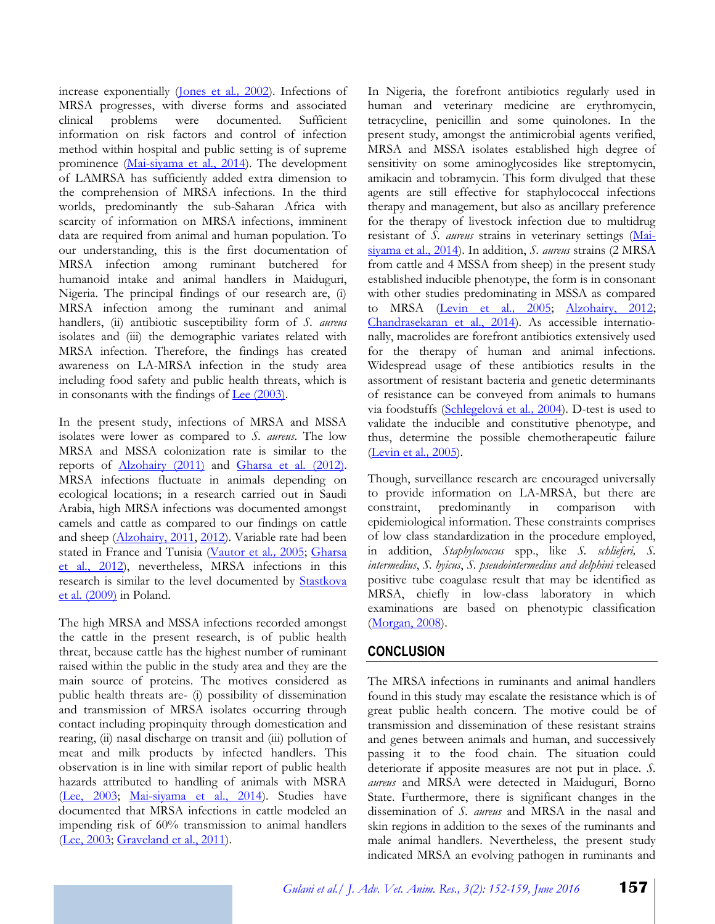increase exponentially [\(Jones](#page-6-11) et al*.,* 2002). Infections of MRSA progresses, with diverse forms and associated clinical problems were documented. Sufficient information on risk factors and control of infection method within hospital and public setting is of supreme prominence (Mai-siyama [et al., 2014\)](#page-7-12). The development of LAMRSA has sufficiently added extra dimension to the comprehension of MRSA infections. In the third worlds, predominantly the sub-Saharan Africa with scarcity of information on MRSA infections, imminent data are required from animal and human population. To our understanding, this is the first documentation of MRSA infection among ruminant butchered for humanoid intake and animal handlers in Maiduguri, Nigeria. The principal findings of our research are, (i) MRSA infection among the ruminant and animal handlers, (ii) antibiotic susceptibility form of *S. aureus* isolates and (iii) the demographic variates related with MRSA infection. Therefore, the findings has created awareness on LA-MRSA infection in the study area including food safety and public health threats, which is in consonants with the findings of  $Lee (2003).$  $Lee (2003).$ </u>

In the present study, infections of MRSA and MSSA isolates were lower as compared to *S. aureus*. The low MRSA and MSSA colonization rate is similar to the reports of [Alzohairy](#page-6-12) (2011) and [Gharsa](#page-6-13) et al*.* (2012). MRSA infections fluctuate in animals depending on ecological locations; in a research carried out in Saudi Arabia, high MRSA infections was documented amongst camels and cattle as compared to our findings on cattle and sheep [\(Alzohairy,](#page-6-12) 2011, [2012\)](#page-6-14). Variable rate had been stated in France and Tunisia [\(Vautor](#page-7-14) et al*.,* 2005; [Gharsa](#page-6-13)  et al*.*[, 2012\)](#page-6-13), nevertheless, MRSA infections in this research is similar to the level documented by [Stastkova](#page-7-15) et al*.* [\(2009\)](#page-7-15) in Poland.

The high MRSA and MSSA infections recorded amongst the cattle in the present research, is of public health threat, because cattle has the highest number of ruminant raised within the public in the study area and they are the main source of proteins. The motives considered as public health threats are- (i) possibility of dissemination and transmission of MRSA isolates occurring through contact including propinquity through domestication and rearing, (ii) nasal discharge on transit and (iii) pollution of meat and milk products by infected handlers. This observation is in line with similar report of public health hazards attributed to handling of animals with MSRA [\(Lee, 2003;](#page-6-4) Mai-siyama [et al., 2014\)](#page-7-12). Studies have documented that MRSA infections in cattle modeled an impending risk of 60% transmission to animal handlers [\(Lee, 2003;](#page-6-4) [Graveland et al., 2011\)](#page-6-6).

In Nigeria, the forefront antibiotics regularly used in human and veterinary medicine are erythromycin, tetracycline, penicillin and some quinolones. In the present study, amongst the antimicrobial agents verified, MRSA and MSSA isolates established high degree of sensitivity on some aminoglycosides like streptomycin, amikacin and tobramycin. This form divulged that these agents are still effective for staphylococcal infections therapy and management, but also as ancillary preference for the therapy of livestock infection due to multidrug resistant of *S. aureus* strains in veterinary settings [\(Mai](#page-7-12)siyama [et al., 2014\)](#page-7-12). In addition, *S. aureus* strains (2 MRSA from cattle and 4 MSSA from sheep) in the present study established inducible phenotype, the form is in consonant with other studies predominating in MSSA as compared to MRSA [\(Levin](#page-6-15) et al*.,* 2005; [Alzohairy, 2012;](#page-6-14) [Chandrasekaran et al., 2014\)](#page-6-16). As accessible internationally, macrolides are forefront antibiotics extensively used for the therapy of human and animal infections. Widespread usage of these antibiotics results in the assortment of resistant bacteria and genetic determinants of resistance can be conveyed from animals to humans via foodstuffs [\(Schlegelová](#page-7-16) et al*.,* 2004). D-test is used to validate the inducible and constitutive phenotype, and thus, determine the possible chemotherapeutic failure [\(Levin](#page-6-15) et al*.,* 2005).

Though, surveillance research are encouraged universally to provide information on LA-MRSA, but there are constraint, predominantly in comparison with epidemiological information. These constraints comprises of low class standardization in the procedure employed, in addition, *Staphylococcus* spp., like *S. schlieferi, S. intermedius*, *S. hyicus*, *S. pseudointermedius and delphini* released positive tube coagulase result that may be identified as MRSA, chiefly in low-class laboratory in which examinations are based on phenotypic classification [\(Morgan, 2008\)](#page-7-17).

## **CONCLUSION**

The MRSA infections in ruminants and animal handlers found in this study may escalate the resistance which is of great public health concern. The motive could be of transmission and dissemination of these resistant strains and genes between animals and human, and successively passing it to the food chain. The situation could deteriorate if apposite measures are not put in place. *S. aureus* and MRSA were detected in Maiduguri, Borno State. Furthermore, there is significant changes in the dissemination of *S. aureus* and MRSA in the nasal and skin regions in addition to the sexes of the ruminants and male animal handlers. Nevertheless, the present study indicated MRSA an evolving pathogen in ruminants and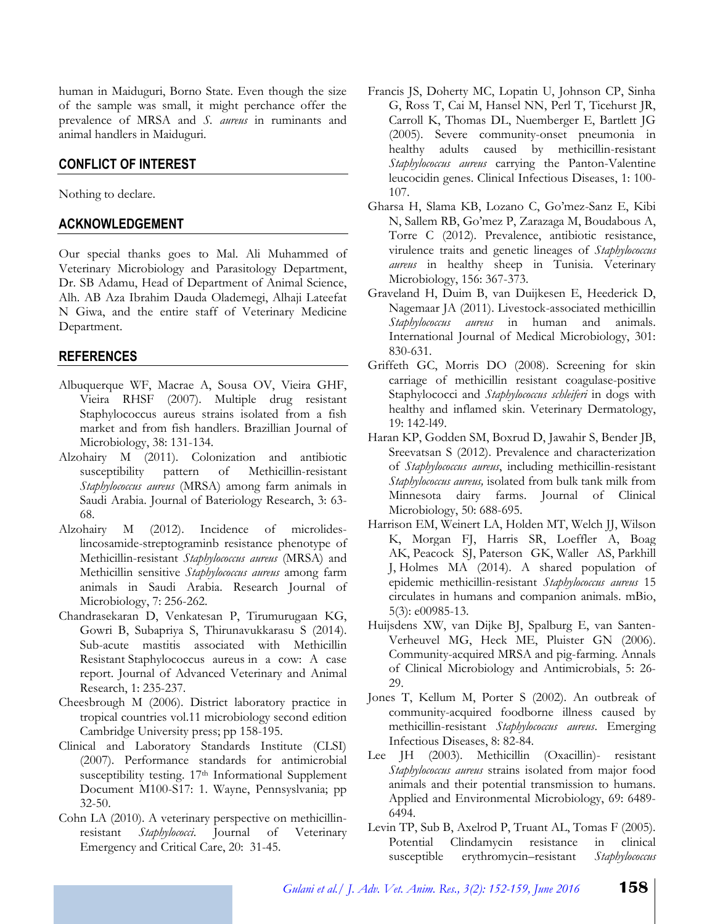human in Maiduguri, Borno State. Even though the size of the sample was small, it might perchance offer the prevalence of MRSA and *S. aureus* in ruminants and animal handlers in Maiduguri.

# **CONFLICT OF INTEREST**

Nothing to declare.

## **ACKNOWLEDGEMENT**

Our special thanks goes to Mal. Ali Muhammed of Veterinary Microbiology and Parasitology Department, Dr. SB Adamu, Head of Department of Animal Science, Alh. AB Aza Ibrahim Dauda Olademegi, Alhaji Lateefat N Giwa, and the entire staff of Veterinary Medicine Department.

### **REFERENCES**

- <span id="page-6-3"></span>Albuquerque WF, Macrae A, Sousa OV, Vieira GHF, Vieira RHSF (2007). Multiple drug resistant Staphylococcus aureus strains isolated from a fish market and from fish handlers. Brazillian Journal of Microbiology, 38: 131-134.
- <span id="page-6-12"></span>Alzohairy M (2011). Colonization and antibiotic susceptibility pattern of Methicillin-resistant *Staphylococcus aureus* (MRSA) among farm animals in Saudi Arabia. Journal of Bateriology Research, 3: 63- 68.
- <span id="page-6-14"></span>Alzohairy M (2012). Incidence of microlideslincosamide-streptograminb resistance phenotype of Methicillin-resistant *Staphylococcus aureus* (MRSA) and Methicillin sensitive *Staphylococcus aureus* among farm animals in Saudi Arabia. Research Journal of Microbiology, 7: 256-262.
- <span id="page-6-16"></span>Chandrasekaran D, Venkatesan P, Tirumurugaan KG, Gowri B, Subapriya S, Thirunavukkarasu S (2014). Sub-acute mastitis associated with Methicillin Resistant Staphylococcus aureus in a cow: A case report. Journal of Advanced Veterinary and Animal Research, 1: 235-237.
- <span id="page-6-9"></span>Cheesbrough M (2006). District laboratory practice in tropical countries vol.11 microbiology second edition Cambridge University press; pp 158-195.
- <span id="page-6-10"></span>Clinical and Laboratory Standards Institute (CLSI) (2007). Performance standards for antimicrobial susceptibility testing. 17<sup>th</sup> Informational Supplement Document M100-S17: 1. Wayne, Pennsyslvania; pp 32-50.
- <span id="page-6-8"></span>Cohn LA (2010). A veterinary perspective on methicillinresistant *Staphylococci*. Journal of Veterinary Emergency and Critical Care, 20: 31-45.
- <span id="page-6-1"></span>Francis JS, Doherty MC, Lopatin U, Johnson CP, Sinha G, Ross T, Cai M, Hansel NN, Perl T, Ticehurst JR, Carroll K, Thomas DL, Nuemberger E, Bartlett JG (2005). Severe community-onset pneumonia in healthy adults caused by methicillin-resistant *Staphylococcus aureus* carrying the Panton-Valentine leucocidin genes. Clinical Infectious Diseases, 1: 100- 107.
- <span id="page-6-13"></span>Gharsa H, Slama KB, Lozano C, Go'mez-Sanz E, Kibi N, Sallem RB, Go'mez P, Zarazaga M, Boudabous A, Torre C (2012). Prevalence, antibiotic resistance, virulence traits and genetic lineages of *Staphylococcus aureus* in healthy sheep in Tunisia. Veterinary Microbiology, 156: 367-373.
- <span id="page-6-6"></span>Graveland H, Duim B, van Duijkesen E, Heederick D, Nagemaar JA (2011). Livestock-associated methicillin *Staphylococcus aureus* in human and animals. International Journal of Medical Microbiology, 301: 830-631.
- <span id="page-6-0"></span>Griffeth GC, Morris DO (2008). Screening for skin carriage of methicillin resistant coagulase-positive Staphylococci and *Staphylococcus schleiferi* in dogs with healthy and inflamed skin. Veterinary Dermatology, 19: 142-l49.
- <span id="page-6-5"></span>Haran KP, Godden SM, Boxrud D, Jawahir S, Bender JB, Sreevatsan S (2012). Prevalence and characterization of *Staphylococcus aureus*, including methicillin-resistant *Staphylococcus aureus,* isolated from bulk tank milk from Minnesota dairy farms. Journal of Clinical Microbiology, 50: 688-695.
- <span id="page-6-2"></span>Harrison EM, Weinert LA, Holden MT, Welch JJ, Wilson K, Morgan FJ, Harris SR, Loeffler A, Boag AK, Peacock SJ, Paterson GK, Waller AS, Parkhill J, Holmes MA (2014). A shared population of epidemic methicillin-resistant *Staphylococcus aureus* 15 circulates in humans and companion animals. mBio, 5(3): e00985-13.
- <span id="page-6-7"></span>Huijsdens XW, van Dijke BJ, Spalburg E, van Santen-Verheuvel MG, Heck ME, Pluister GN (2006). Community-acquired MRSA and pig-farming. Annals of Clinical Microbiology and Antimicrobials, 5: 26- 29.
- <span id="page-6-11"></span>Jones T, Kellum M, Porter S (2002). An outbreak of community-acquired foodborne illness caused by methicillin-resistant *Staphylococcus aureus*. Emerging Infectious Diseases, 8: 82-84.
- <span id="page-6-4"></span>Lee JH (2003). Methicillin (Oxacillin)- resistant *Staphylococcus aureus* strains isolated from major food animals and their potential transmission to humans. Applied and Environmental Microbiology, 69: 6489- 6494.
- <span id="page-6-15"></span>Levin TP, Sub B, Axelrod P, Truant AL, Tomas F (2005). Potential Clindamycin resistance in clinical susceptible erythromycin–resistant *Staphylococcus*